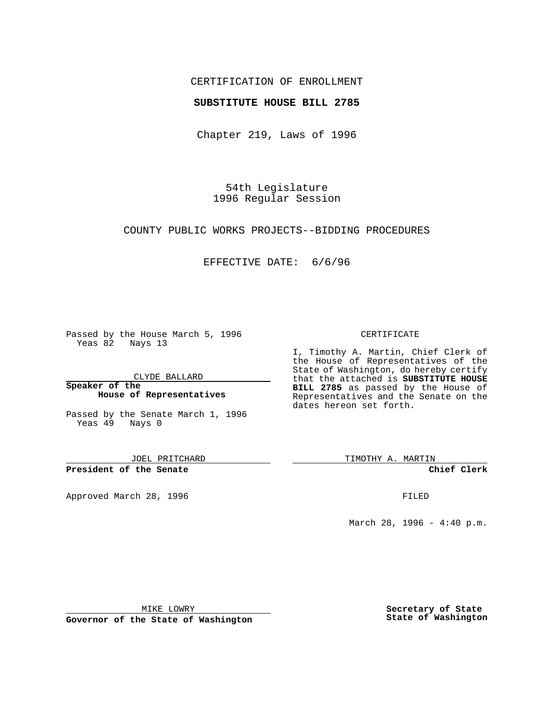## CERTIFICATION OF ENROLLMENT

## **SUBSTITUTE HOUSE BILL 2785**

Chapter 219, Laws of 1996

54th Legislature 1996 Regular Session

COUNTY PUBLIC WORKS PROJECTS--BIDDING PROCEDURES

## EFFECTIVE DATE: 6/6/96

Passed by the House March 5, 1996 Yeas 82 Nays 13

CLYDE BALLARD

**Speaker of the House of Representatives**

Passed by the Senate March 1, 1996 Yeas 49 Nays 0

JOEL PRITCHARD

**President of the Senate**

Approved March 28, 1996 FILED

#### CERTIFICATE

I, Timothy A. Martin, Chief Clerk of the House of Representatives of the State of Washington, do hereby certify that the attached is **SUBSTITUTE HOUSE BILL 2785** as passed by the House of Representatives and the Senate on the dates hereon set forth.

TIMOTHY A. MARTIN

**Chief Clerk**

March 28, 1996 - 4:40 p.m.

MIKE LOWRY

**Governor of the State of Washington**

**Secretary of State State of Washington**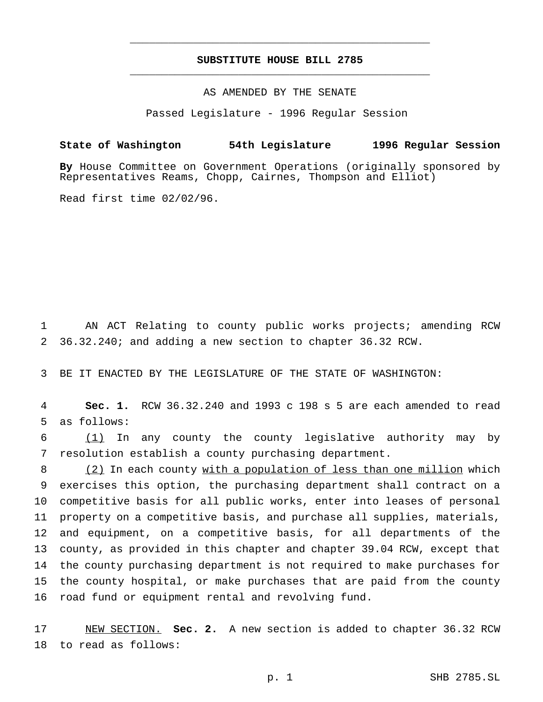## **SUBSTITUTE HOUSE BILL 2785** \_\_\_\_\_\_\_\_\_\_\_\_\_\_\_\_\_\_\_\_\_\_\_\_\_\_\_\_\_\_\_\_\_\_\_\_\_\_\_\_\_\_\_\_\_\_\_

\_\_\_\_\_\_\_\_\_\_\_\_\_\_\_\_\_\_\_\_\_\_\_\_\_\_\_\_\_\_\_\_\_\_\_\_\_\_\_\_\_\_\_\_\_\_\_

# AS AMENDED BY THE SENATE

Passed Legislature - 1996 Regular Session

## **State of Washington 54th Legislature 1996 Regular Session**

**By** House Committee on Government Operations (originally sponsored by Representatives Reams, Chopp, Cairnes, Thompson and Elliot)

Read first time 02/02/96.

 AN ACT Relating to county public works projects; amending RCW 36.32.240; and adding a new section to chapter 36.32 RCW.

BE IT ENACTED BY THE LEGISLATURE OF THE STATE OF WASHINGTON:

 **Sec. 1.** RCW 36.32.240 and 1993 c 198 s 5 are each amended to read as follows:

 (1) In any county the county legislative authority may by resolution establish a county purchasing department.

 (2) In each county with a population of less than one million which exercises this option, the purchasing department shall contract on a competitive basis for all public works, enter into leases of personal property on a competitive basis, and purchase all supplies, materials, and equipment, on a competitive basis, for all departments of the county, as provided in this chapter and chapter 39.04 RCW, except that the county purchasing department is not required to make purchases for the county hospital, or make purchases that are paid from the county road fund or equipment rental and revolving fund.

 NEW SECTION. **Sec. 2.** A new section is added to chapter 36.32 RCW to read as follows: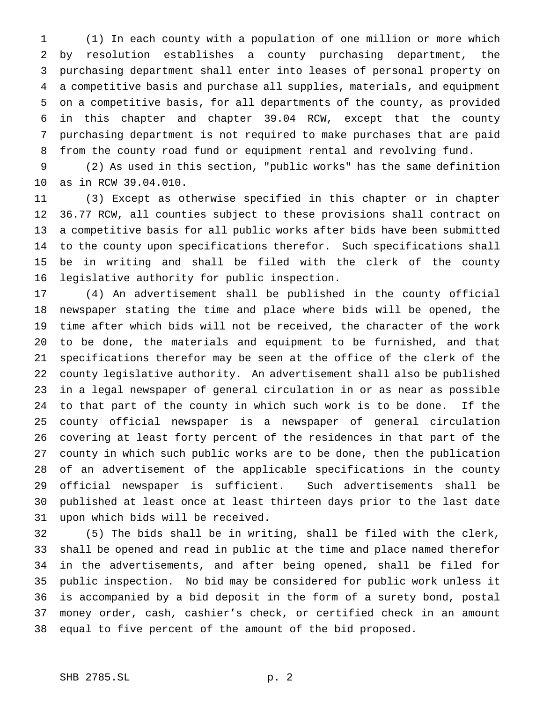(1) In each county with a population of one million or more which by resolution establishes a county purchasing department, the purchasing department shall enter into leases of personal property on a competitive basis and purchase all supplies, materials, and equipment on a competitive basis, for all departments of the county, as provided in this chapter and chapter 39.04 RCW, except that the county purchasing department is not required to make purchases that are paid from the county road fund or equipment rental and revolving fund.

 (2) As used in this section, "public works" has the same definition as in RCW 39.04.010.

 (3) Except as otherwise specified in this chapter or in chapter 36.77 RCW, all counties subject to these provisions shall contract on a competitive basis for all public works after bids have been submitted to the county upon specifications therefor. Such specifications shall be in writing and shall be filed with the clerk of the county legislative authority for public inspection.

 (4) An advertisement shall be published in the county official newspaper stating the time and place where bids will be opened, the time after which bids will not be received, the character of the work to be done, the materials and equipment to be furnished, and that specifications therefor may be seen at the office of the clerk of the county legislative authority. An advertisement shall also be published in a legal newspaper of general circulation in or as near as possible to that part of the county in which such work is to be done. If the county official newspaper is a newspaper of general circulation covering at least forty percent of the residences in that part of the county in which such public works are to be done, then the publication of an advertisement of the applicable specifications in the county official newspaper is sufficient. Such advertisements shall be published at least once at least thirteen days prior to the last date upon which bids will be received.

 (5) The bids shall be in writing, shall be filed with the clerk, shall be opened and read in public at the time and place named therefor in the advertisements, and after being opened, shall be filed for public inspection. No bid may be considered for public work unless it is accompanied by a bid deposit in the form of a surety bond, postal money order, cash, cashier's check, or certified check in an amount equal to five percent of the amount of the bid proposed.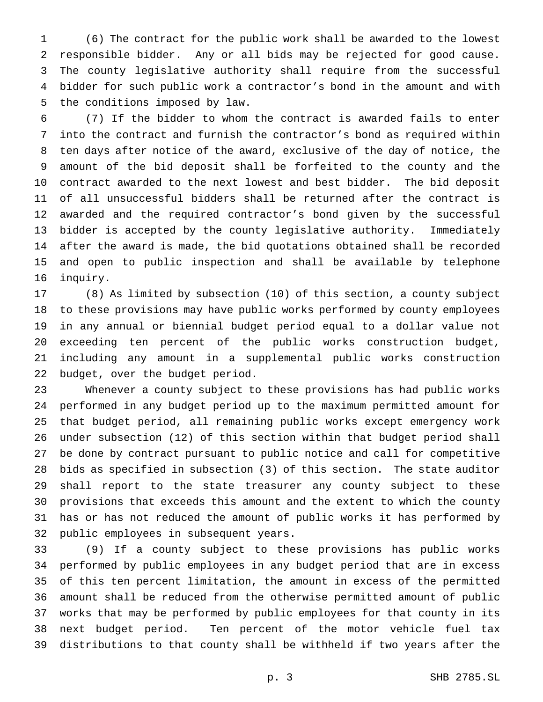(6) The contract for the public work shall be awarded to the lowest responsible bidder. Any or all bids may be rejected for good cause. The county legislative authority shall require from the successful bidder for such public work a contractor's bond in the amount and with the conditions imposed by law.

 (7) If the bidder to whom the contract is awarded fails to enter into the contract and furnish the contractor's bond as required within ten days after notice of the award, exclusive of the day of notice, the amount of the bid deposit shall be forfeited to the county and the contract awarded to the next lowest and best bidder. The bid deposit of all unsuccessful bidders shall be returned after the contract is awarded and the required contractor's bond given by the successful bidder is accepted by the county legislative authority. Immediately after the award is made, the bid quotations obtained shall be recorded and open to public inspection and shall be available by telephone inquiry.

 (8) As limited by subsection (10) of this section, a county subject to these provisions may have public works performed by county employees in any annual or biennial budget period equal to a dollar value not exceeding ten percent of the public works construction budget, including any amount in a supplemental public works construction budget, over the budget period.

 Whenever a county subject to these provisions has had public works performed in any budget period up to the maximum permitted amount for that budget period, all remaining public works except emergency work under subsection (12) of this section within that budget period shall be done by contract pursuant to public notice and call for competitive bids as specified in subsection (3) of this section. The state auditor shall report to the state treasurer any county subject to these provisions that exceeds this amount and the extent to which the county has or has not reduced the amount of public works it has performed by public employees in subsequent years.

 (9) If a county subject to these provisions has public works performed by public employees in any budget period that are in excess of this ten percent limitation, the amount in excess of the permitted amount shall be reduced from the otherwise permitted amount of public works that may be performed by public employees for that county in its next budget period. Ten percent of the motor vehicle fuel tax distributions to that county shall be withheld if two years after the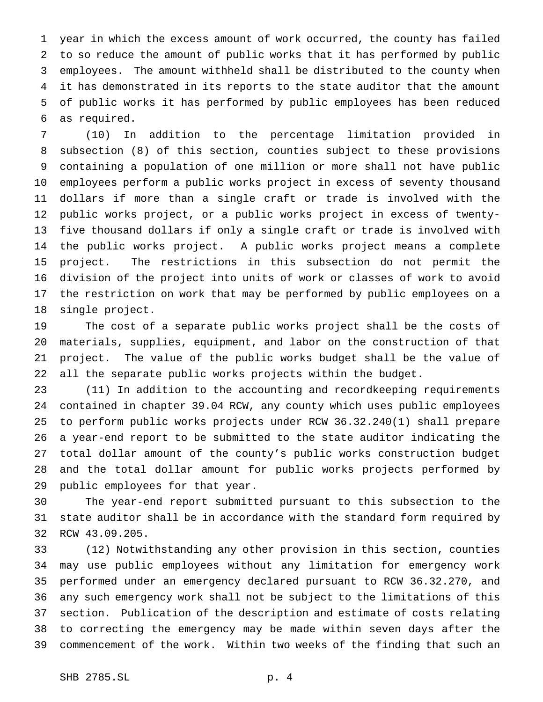year in which the excess amount of work occurred, the county has failed to so reduce the amount of public works that it has performed by public employees. The amount withheld shall be distributed to the county when it has demonstrated in its reports to the state auditor that the amount of public works it has performed by public employees has been reduced as required.

 (10) In addition to the percentage limitation provided in subsection (8) of this section, counties subject to these provisions containing a population of one million or more shall not have public employees perform a public works project in excess of seventy thousand dollars if more than a single craft or trade is involved with the public works project, or a public works project in excess of twenty- five thousand dollars if only a single craft or trade is involved with the public works project. A public works project means a complete project. The restrictions in this subsection do not permit the division of the project into units of work or classes of work to avoid the restriction on work that may be performed by public employees on a single project.

 The cost of a separate public works project shall be the costs of materials, supplies, equipment, and labor on the construction of that project. The value of the public works budget shall be the value of all the separate public works projects within the budget.

 (11) In addition to the accounting and recordkeeping requirements contained in chapter 39.04 RCW, any county which uses public employees to perform public works projects under RCW 36.32.240(1) shall prepare a year-end report to be submitted to the state auditor indicating the total dollar amount of the county's public works construction budget and the total dollar amount for public works projects performed by public employees for that year.

 The year-end report submitted pursuant to this subsection to the state auditor shall be in accordance with the standard form required by RCW 43.09.205.

 (12) Notwithstanding any other provision in this section, counties may use public employees without any limitation for emergency work performed under an emergency declared pursuant to RCW 36.32.270, and any such emergency work shall not be subject to the limitations of this section. Publication of the description and estimate of costs relating to correcting the emergency may be made within seven days after the commencement of the work. Within two weeks of the finding that such an